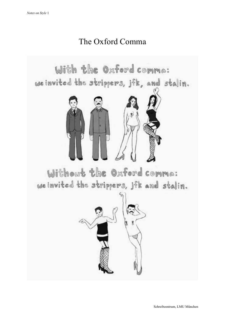## The Oxford Comma